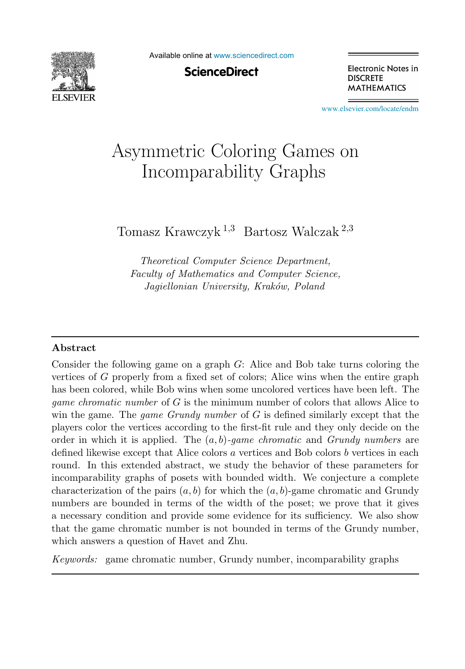

Available online at [www.sciencedirect.com](http://www.sciencedirect.com)

**ScienceDirect** 

Electronic Notes in **DISCRETE MATHEMATICS** 

[www.elsevier.com/locate/endm](http://www.elsevier.com/locate/endm)

# Asymmetric Coloring Games on<br>Incomparability Graphs  $\frac{1}{\sqrt{2}}$

Tomasz Krawczyk <sup>1</sup>,<sup>3</sup> Bartosz Walczak <sup>2</sup>,<sup>3</sup>

Theoretical Computer Science Department, Faculty of Mathematics and Computer Science, Jagiellonian University, Kraków, Poland

## **Abstract**

Consider the following game on a graph G: Alice and Bob take turns coloring the vertices of G properly from a fixed set of colors; Alice wins when the entire graph has been colored, while Bob wins when some uncolored vertices have been left. The game chromatic number of G is the minimum number of colors that allows Alice to win the game. The *game Grundy number* of  $G$  is defined similarly except that the players color the vertices according to the first-fit rule and they only decide on the order in which it is applied. The  $(a, b)$ -game chromatic and Grundy numbers are defined likewise except that Alice colors a vertices and Bob colors b vertices in each round. In this extended abstract, we study the behavior of these parameters for incomparability graphs of posets with bounded width. We conjecture a complete characterization of the pairs  $(a, b)$  for which the  $(a, b)$ -game chromatic and Grundy numbers are bounded in terms of the width of the poset; we prove that it gives a necessary condition and provide some evidence for its sufficiency. We also show that the game chromatic number is not bounded in terms of the Grundy number, which answers a question of Havet and Zhu.

Keywords: game chromatic number, Grundy number, incomparability graphs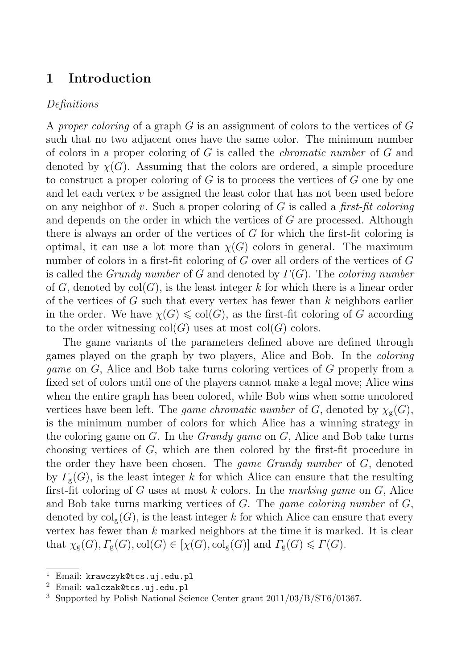## **1 Introduction**

## Definitions

A proper coloring of a graph  $G$  is an assignment of colors to the vertices of  $G$ such that no two adjacent ones have the same color. The minimum number of colors in a proper coloring of  $G$  is called the *chromatic number* of  $G$  and denoted by  $\chi(G)$ . Assuming that the colors are ordered, a simple procedure to construct a proper coloring of  $G$  is to process the vertices of  $G$  one by one and let each vertex  $v$  be assigned the least color that has not been used before on any neighbor of v. Such a proper coloring of  $G$  is called a *first-fit coloring* and depends on the order in which the vertices of G are processed. Although there is always an order of the vertices of G for which the first-fit coloring is optimal, it can use a lot more than  $\chi(G)$  colors in general. The maximum number of colors in a first-fit coloring of  $G$  over all orders of the vertices of  $G$ is called the *Grundy number* of G and denoted by  $\Gamma(G)$ . The *coloring number* of G, denoted by  $col(G)$ , is the least integer k for which there is a linear order of the vertices of  $G$  such that every vertex has fewer than  $k$  neighbors earlier in the order. We have  $\chi(G) \leqslant col(G)$ , as the first-fit coloring of G according to the order witnessing  $col(G)$  uses at most  $col(G)$  colors.

The game variants of the parameters defined above are defined through games played on the graph by two players, Alice and Bob. In the coloring game on G, Alice and Bob take turns coloring vertices of G properly from a fixed set of colors until one of the players cannot make a legal move; Alice wins when the entire graph has been colored, while Bob wins when some uncolored vertices have been left. The game chromatic number of G, denoted by  $\chi_{g}(G)$ , is the minimum number of colors for which Alice has a winning strategy in the coloring game on  $G$ . In the *Grundy game* on  $G$ , Alice and Bob take turns choosing vertices of G, which are then colored by the first-fit procedure in the order they have been chosen. The *game Grundy number* of G, denoted by  $\Gamma_{\mathbf{g}}(G)$ , is the least integer k for which Alice can ensure that the resulting first-fit coloring of G uses at most k colors. In the marking game on G, Alice and Bob take turns marking vertices of  $G$ . The *game coloring number* of  $G$ , denoted by  $\text{col}_g(G)$ , is the least integer k for which Alice can ensure that every vertex has fewer than  $k$  marked neighbors at the time it is marked. It is clear that  $\chi_{\rm g}(G), \Gamma_{\rm g}(G), \text{col}(G) \in [\chi(G), \text{col}_{\rm g}(G)]$  and  $\Gamma_{\rm g}(G) \leqslant \Gamma(G)$ .

<sup>&</sup>lt;sup>1</sup> Email: krawczyk@tcs.uj.edu.pl  $^2$  Email: walczak@tcs.uj.edu.pl

<sup>3</sup> Supported by Polish National Science Center grant 2011/03/B/ST6/01367.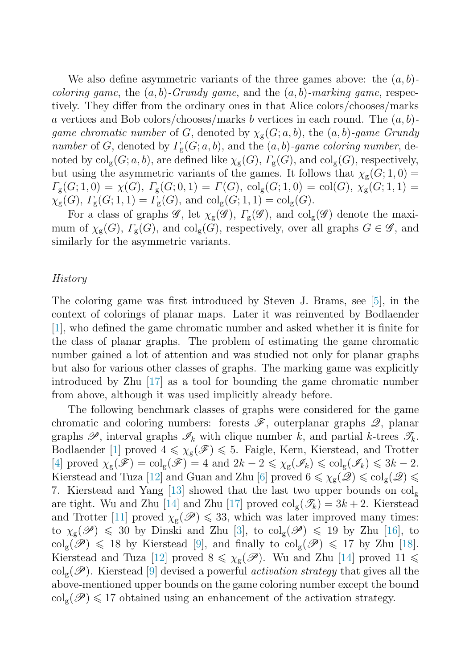We also define asymmetric variants of the three games above: the  $(a, b)$ *coloring game*, the  $(a, b)$ -Grundy game, and the  $(a, b)$ -marking game, respectively. They differ from the ordinary ones in that Alice colors/chooses/marks a vertices and Bob colors/chooses/marks b vertices in each round. The  $(a, b)$ game chromatic number of G, denoted by  $\chi_{g}(G; a, b)$ , the  $(a, b)$ -game Grundy number of G, denoted by  $\Gamma_{\mathfrak{g}}(G; a, b)$ , and the  $(a, b)$ -game coloring number, denoted by  $col_{g}(G; a, b)$ , are defined like  $\chi_{g}(G)$ ,  $\Gamma_{g}(G)$ , and  $col_{g}(G)$ , respectively, but using the asymmetric variants of the games. It follows that  $\chi_{\rm g}(G; 1, 0)$  =  $\Gamma_{\rm g}(G; 1,0) = \chi(G), \Gamma_{\rm g}(G; 0,1) = \Gamma(G), \,{\rm col}_{\rm g}(G; 1,0) = {\rm col}(G), \ \chi_{\rm g}(G; 1,1) =$  $\chi_{\rm g}(G), \Gamma_{\rm g}(G; 1, 1) = \Gamma_{\rm g}(G), \text{ and } \mathrm{col}_{\rm g}(G; 1, 1) = \mathrm{col}_{\rm g}(G).$ 

For a class of graphs  $\mathscr{G}$ , let  $\chi_{g}(\mathscr{G})$ ,  $\Gamma_{g}(\mathscr{G})$ , and  $\text{col}_{g}(\mathscr{G})$  denote the maximum of  $\chi_{\rm g}(G)$ ,  $\Gamma_{\rm g}(G)$ , and  $\text{col}_{\rm g}(G)$ , respectively, over all graphs  $G \in \mathscr{G}$ , and similarly for the asymmetric variants.

#### History

The coloring game was first introduced by Steven J. Brams, see [\[5\]](#page-8-0), in the context of colorings of planar maps. Later it was reinvented by Bodlaender [\[1\]](#page-7-0), who defined the game chromatic number and asked whether it is finite for the class of planar graphs. The problem of estimating the game chromatic number gained a lot of attention and was studied not only for planar graphs but also for various other classes of graphs. The marking game was explicitly introduced by Zhu [\[17\]](#page-8-0) as a tool for bounding the game chromatic number from above, although it was used implicitly already before.

The following benchmark classes of graphs were considered for the game chromatic and coloring numbers: forests  $\mathscr{F}$ , outerplanar graphs  $\mathscr{Q}$ , planar graphs  $\mathscr{P}$ , interval graphs  $\mathscr{I}_k$  with clique number k, and partial k-trees  $\mathscr{T}_k$ . Bodlaender [\[1\]](#page-7-0) proved  $4 \leq \chi_{g}(\mathscr{F}) \leq 5$ . Faigle, Kern, Kierstead, and Trotter [\[4\]](#page-8-0) proved  $\chi_{g}(\mathscr{F}) = \text{col}_{g}(\mathscr{F}) = 4$  and  $2k - 2 \leq \chi_{g}(\mathscr{I}_{k}) \leq \text{col}_{g}(\mathscr{I}_{k}) \leq 3k - 2$ .<br> *Kinneteed and True* [12] and Cuan and Zhu [6] proved  $\xi \leq \chi_{g}(\mathscr{P}_{k}) \leq \text{col}_{g}(\mathscr{P}_{k})$ Kierstead and Tuza [\[12\]](#page-8-0) and Guan and Zhu [\[6\]](#page-8-0) proved  $6 \le \chi_g(\mathcal{Q}) \le \text{col}_g(\mathcal{Q}) \le$ 7. Kierstead and Yang [\[13\]](#page-8-0) showed that the last two upper bounds on  $col_{\mathbf{g}}$ are tight. Wu and Zhu [\[14\]](#page-8-0) and Zhu [\[17\]](#page-8-0) proved  $col_{g}(\mathscr{T}_{k})=3k+2$ . Kierstead and Trotter [\[11\]](#page-8-0) proved  $\chi_{g}(\mathscr{P}) \leq 33$ , which was later improved many times: to  $\chi_{\rm g}(\mathscr{P}) \leq 30$  by Dinski and Zhu [\[3\]](#page-8-0), to  $\text{col}_{\rm g}(\mathscr{P}) \leq 19$  by Zhu [\[16\]](#page-8-0), to  $\text{col}_{\rm g}(\mathscr{P}) \leq 18$  by  $\text{Euler}_{\rm g}(\mathscr{P}) \leq 17$  by Zhu [16]  $\text{col}_g(\mathscr{P}) \leq 18$  by Kierstead [\[9\]](#page-8-0), and finally to  $\text{col}_g(\mathscr{P}) \leq 17$  by Zhu [\[18\]](#page-8-0). Kierstead and Tuza [\[12\]](#page-8-0) proved  $8 \leq \chi_{g}(\mathscr{P})$ . Wu and Zhu [\[14\]](#page-8-0) proved  $11 \leq$  $\text{col}_g(\mathscr{P})$ . Kierstead [\[9\]](#page-8-0) devised a powerful *activation strategy* that gives all the above-mentioned upper bounds on the game coloring number except the bound  $\mathrm{col_g}(\mathscr{P})\leqslant 17$  obtained using an enhancement of the activation strategy.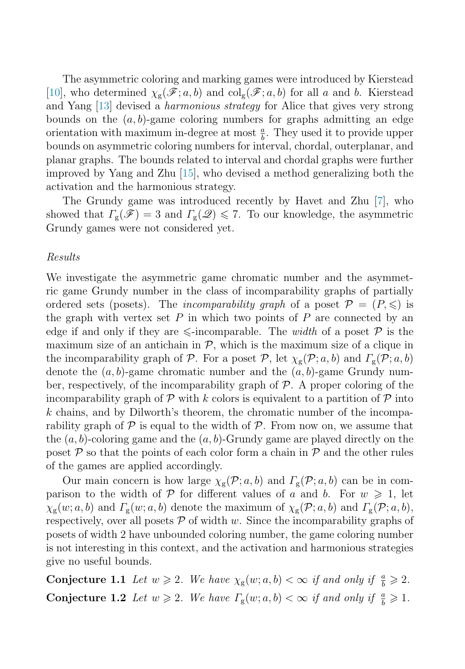<span id="page-3-0"></span>The asymmetric coloring and marking games were introduced by Kierstead [\[10\]](#page-8-0), who determined  $\chi_{g}(\mathscr{F}; a, b)$  and  $\text{col}_{g}(\mathscr{F}; a, b)$  for all a and b. Kierstead and Yang [\[13\]](#page-8-0) devised a *harmonious strategy* for Alice that gives very strong bounds on the  $(a, b)$ -game coloring numbers for graphs admitting an edge orientation with maximum in-degree at most  $\frac{a}{b}$ . They used it to provide upper bounds on asymmetric coloring numbers for interval, chordal, outerplanar, and planar graphs. The bounds related to interval and chordal graphs were further improved by Yang and Zhu [\[15\]](#page-8-0), who devised a method generalizing both the activation and the harmonious strategy.

The Grundy game was introduced recently by Havet and Zhu [\[7\]](#page-8-0), who showed that  $\Gamma_{\rm g}(\mathscr{F}) = 3$  and  $\Gamma_{\rm g}(\mathscr{Q}) \leq 7$ . To our knowledge, the asymmetric Grundy games were not considered yet.

#### Results

We investigate the asymmetric game chromatic number and the asymmetric game Grundy number in the class of incomparability graphs of partially ordered sets (posets). The *incomparability graph* of a poset  $P = (P, \leqslant)$  is the graph with vertex set  $P$  in which two points of  $P$  are connected by an edge if and only if they are  $\leq$ -incomparable. The *width* of a poset  $P$  is the maximum size of an antichain in  $P$ , which is the maximum size of a clique in the incomparability graph of P. For a poset P, let  $\chi_{g}(\mathcal{P}; a, b)$  and  $\Gamma_{g}(\mathcal{P}; a, b)$ denote the  $(a, b)$ -game chromatic number and the  $(a, b)$ -game Grundy number, respectively, of the incomparability graph of  $\mathcal{P}$ . A proper coloring of the incomparability graph of  $P$  with k colors is equivalent to a partition of  $P$  into  $k$  chains, and by Dilworth's theorem, the chromatic number of the incomparability graph of  $\mathcal P$  is equal to the width of  $\mathcal P$ . From now on, we assume that the  $(a, b)$ -coloring game and the  $(a, b)$ -Grundy game are played directly on the poset  $P$  so that the points of each color form a chain in  $P$  and the other rules of the games are applied accordingly.

Our main concern is how large  $\chi_{g}(\mathcal{P}; a, b)$  and  $\Gamma_{g}(\mathcal{P}; a, b)$  can be in comparison to the width of P for different values of a and b. For  $w \geq 1$ , let  $\chi_{g}(w; a, b)$  and  $\Gamma_{g}(w; a, b)$  denote the maximum of  $\chi_{g}(\mathcal{P}; a, b)$  and  $\Gamma_{g}(\mathcal{P}; a, b)$ , respectively, over all posets  $P$  of width w. Since the incomparability graphs of posets of width 2 have unbounded coloring number, the game coloring number is not interesting in this context, and the activation and harmonious strategies give no useful bounds.

**Conjecture 1.1** Let  $w \ge 2$ . We have  $\chi_{g}(w; a, b) < \infty$  if and only if  $\frac{a}{b} \ge 2$ . **Conjecture 1.2** Let  $w \ge 2$ . We have  $\Gamma_{g}(w; a, b) < \infty$  if and only if  $\frac{a}{b} \ge 1$ .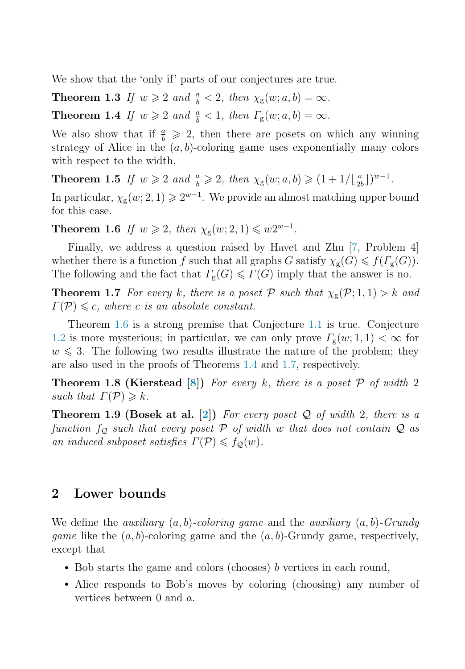<span id="page-4-0"></span>We show that the 'only if' parts of our conjectures are true.

**Theorem 1.3** If  $w \ge 2$  and  $\frac{a}{b} < 2$ , then  $\chi_{g}(w; a, b) = \infty$ . **Theorem 1.4** If  $w \ge 2$  and  $\frac{a}{b} < 1$ , then  $\Gamma_{\rm g}(w; a, b) = \infty$ .

We also show that if  $\frac{a}{b} \geq 2$ , then there are posets on which any winning strategy of Alice in the  $(a, b)$ -coloring game uses exponentially many colors with respect to the width.

**Theorem 1.5** If  $w \ge 2$  and  $\frac{a}{b} \ge 2$ , then  $\chi_{g}(w; a, b) \ge (1 + 1/\lfloor \frac{a}{2b} \rfloor)^{w-1}$ .

In particular,  $\chi_{g}(w; 2, 1) \geq 2^{w-1}$ . We provide an almost matching upper bound for this case.

**Theorem 1.6** If  $w \ge 2$ , then  $\chi_{\rm g}(w; 2, 1) \le w2^{w-1}$ .

Finally, we address a question raised by Havet and Zhu [\[7,](#page-8-0) Problem 4] whether there is a function f such that all graphs G satisfy  $\chi_{g}(G) \leq f(\Gamma_{g}(G))$ .<br>The following and the feet that  $\Gamma(G) \leq \Gamma(G)$  imply that the approximate no The following and the fact that  $\Gamma_{\rm g}(G) \leqslant \Gamma(G)$  imply that the answer is no.

**Theorem 1.7** For every k, there is a poset P such that  $\chi_{g}(\mathcal{P};1,1) > k$  and  $\Gamma(\mathcal{P}) \leq c$ , where c is an absolute constant.

Theorem 1.6 is a strong premise that Conjecture [1.1](#page-3-0) is true. Conjecture [1.2](#page-3-0) is more mysterious; in particular, we can only prove  $\Gamma_{\rm g}(w;1,1) < \infty$  for  $w \leq 3$ . The following two results illustrate the nature of the problem; they are also used in the proofs of Theorems 1.4 and 1.7, respectively.

**Theorem 1.8 (Kierstead [\[8\]](#page-8-0))** For every k, there is a poset  $\mathcal{P}$  of width 2 such that  $\Gamma(\mathcal{P}) \geq k$ .

**Theorem 1.9 (Bosek at al.**  $[2]$ **) For every poset**  $Q$  **of width 2, there is a** function  $f_{\mathcal{Q}}$  such that every poset  $\mathcal P$  of width w that does not contain  $\mathcal Q$  as an induced subposet satisfies  $\Gamma(\mathcal{P}) \leq f_{\mathcal{Q}}(w)$ .

## **2 Lower bounds**

We define the *auxiliary*  $(a, b)$ -coloring game and the *auxiliary*  $(a, b)$ -Grundy *game* like the  $(a, b)$ -coloring game and the  $(a, b)$ -Grundy game, respectively, except that

- Bob starts the game and colors (chooses) b vertices in each round,
- Alice responds to Bob's moves by coloring (choosing) any number of vertices between 0 and a.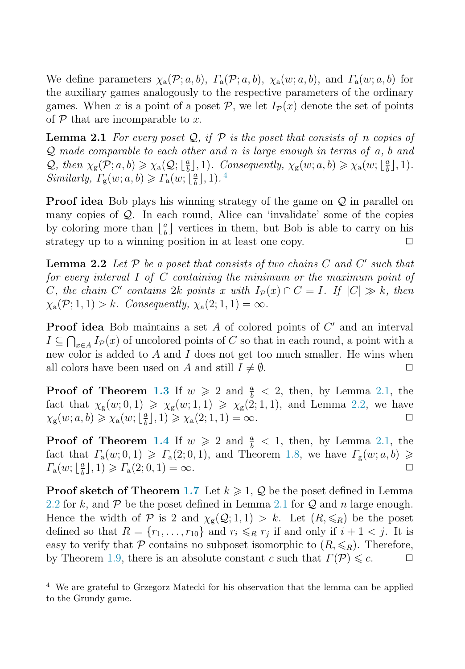<span id="page-5-0"></span>We define parameters  $\chi_a(\mathcal{P}; a, b)$ ,  $\Gamma_a(\mathcal{P}; a, b)$ ,  $\chi_a(w; a, b)$ , and  $\Gamma_a(w; a, b)$  for the auxiliary games analogously to the respective parameters of the ordinary games. When x is a point of a poset  $P$ , we let  $I_P(x)$  denote the set of points of  $P$  that are incomparable to x.

**Lemma 2.1** For every poset  $Q$ , if  $P$  is the poset that consists of n copies of  $Q$  made comparable to each other and n is large enough in terms of  $a, b$  and Q, then  $\chi_{\rm g}(\mathcal{P}; a, b) \ge \chi_{\rm a}(\mathcal{Q}; \lfloor \frac{a}{b} \rfloor, 1)$ . Consequently,  $\chi_{\rm g}(w; a, b) \ge \chi_{\rm a}(w; \lfloor \frac{a}{b} \rfloor, 1)$ .<br>Similarly,  $\Gamma$  (and  $\mathcal{Q}$ )  $\ge \Gamma$  (and  $\frac{a}{b}$ ) 1) 4 Similarly,  $\Gamma_{\rm g}(w; a, b) \geqslant \Gamma_{\rm a}(w; \lfloor \frac{a}{b} \rfloor, 1)$ .<sup>4</sup>

**Proof idea** Bob plays his winning strategy of the game on  $\mathcal{Q}$  in parallel on many copies of Q. In each round, Alice can 'invalidate' some of the copies by coloring more than  $\lfloor \frac{a}{b} \rfloor$  vertices in them, but Bob is able to carry on his strategy up to a winning position in at least one copy.  $\Box$ 

**Lemma 2.2** Let  $P$  be a poset that consists of two chains  $C$  and  $C'$  such that for every interval I of C containing the minimum or the maximum point of C, the chain C' contains 2k points x with  $I_{\mathcal{P}}(x) \cap C = I$ . If  $|C| \gg k$ , then  $\chi_{\rm a}(\mathcal{P};1,1) > k$ . Consequently,  $\chi_{\rm a}(2;1,1) = \infty$ .

**Proof idea** Bob maintains a set  $A$  of colored points of  $C'$  and an interval  $I \subseteq \bigcap_{x \in A} I_{\mathcal{P}}(x)$  of uncolored points of C so that in each round, a point with a new color is added to  $A$  and  $I$  does not get too much smaller. He wins when all colors have been used on A and still  $I \neq \emptyset$ .

**Proof of Theorem [1.3](#page-4-0)** If  $w \ge 2$  and  $\frac{a}{b} < 2$ , then, by Lemma 2.1, the fact that  $\chi_{\rm g}(w; 0, 1) \ge \chi_{\rm g}(w; 1, 1) \ge \chi_{\rm g}(2; 1, 1)$ , and Lemma 2.2, we have  $\chi_{\rm g}(w; a, b) \ge \chi_{\rm g}(w; \lfloor \frac{a}{2} \rfloor, 1) \ge \chi_{\rm g}(2; 1, 1) = \infty$ .  $\chi_{\rm g}(w;a,b) \geq \chi_{\rm a}(w;\left[\frac{a}{b}\right],1) \geq \chi_{\rm a}(2;1,1) = \infty.$ 

**Proof of Theorem [1.4](#page-4-0)** If  $w \ge 2$  and  $\frac{a}{b} < 1$ , then, by Lemma 2.1, the fact that  $\Gamma_a(w; 0, 1) \geqslant \Gamma_a(2; 0, 1)$ , and Theorem [1.8,](#page-4-0) we have  $\Gamma_g(w; a, b) \geqslant \Gamma(w; \lfloor \frac{a}{2} \rfloor, 1) \geqslant \Gamma(2; 0, 1) = \infty$  $\Gamma_{\rm a}(w; \lfloor \frac{a}{b} \rfloor, 1) \geqslant \Gamma_{\rm a}(2; 0, 1) = \infty.$ 

**Proof sketch of Theorem [1.7](#page-4-0)** Let  $k \geq 1$ , Q be the poset defined in Lemma 2.2 for k, and  $\mathcal P$  be the poset defined in Lemma 2.1 for  $\mathcal Q$  and n large enough. Hence the width of P is 2 and  $\chi_{g}(Q; 1, 1) > k$ . Let  $(R, \leq_R)$  be the poset defined so that  $R = \{r_1, \ldots, r_{10}\}$  and  $r_i \leq_R r_j$  if and only if  $i + 1 < j$ . It is easy to verify that  $P$  contains no subposet isomorphic to  $(R, \leq R)$ . Therefore, by Theorem [1.9,](#page-4-0) there is an absolute constant c such that  $\Gamma(\mathcal{P}) \leq c$ .  $\Box$ 

<sup>4</sup> We are grateful to Grzegorz Matecki for his observation that the lemma can be applied to the Grundy game.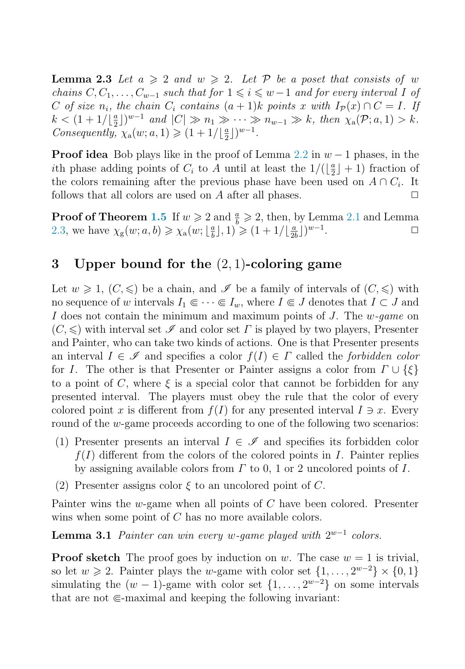<span id="page-6-0"></span>**Lemma 2.3** Let  $a \geq 2$  and  $w \geq 2$ . Let P be a poset that consists of w chains  $C, C_1, \ldots, C_{w-1}$  such that for  $1 \leq i \leq w-1$  and for every interval I of  $C$  of eigenvalues  $C$  contains  $(c+1)$  is points  $x$  with  $L(x) \cap C = L$  in C of size  $n_i$ , the chain  $C_i$  contains  $(a + 1)k$  points x with  $I_p(x) \cap C = I$ . If  $k < (1 + 1/\lfloor \frac{a}{2} \rfloor)^{w-1}$  and  $|C| \gg n_1 \gg \cdots \gg n_{w-1} \gg k$ , then  $\chi_a(\mathcal{P}; a, 1) > k$ .<br>Consequently  $\chi_a(w; a, 1) > (1 + 1/\lfloor \frac{a}{2} \rfloor)^{w-1}$ Consequently,  $\chi_a(w; a, 1) \geqslant (1 + 1/\lfloor \frac{a}{2} \rfloor)^{w-1}$ .

**Proof idea** Bob plays like in the proof of Lemma [2.2](#page-5-0) in  $w - 1$  phases, in the ith phase adding points of  $C_i$  to A until at least the  $1/(\lfloor \frac{a}{2} \rfloor + 1)$  fraction of<br>the colors remaining after the previous phase have been used on  $A \cap C_i$ . It the colors remaining after the previous phase have been used on  $A \cap C_i$ . It follows that all colors are used on  $A$  after all phases.  $\Box$ 

**Proof of Theorem [1.5](#page-4-0)** If  $w \ge 2$  and  $\frac{a}{b} \ge 2$ , then, by Lemma [2.1](#page-5-0) and Lemma [2.3,](#page-5-0) we have  $\chi_{\rm g}(w; a, b) \ge \chi_{\rm a}(w; \lfloor \frac{a}{b} \rfloor, 1) \ge (1 + 1/\lfloor \frac{a}{2b} \rfloor)^{w-1}$ .

# **3 Upper bound for the** (2, 1)**-coloring game**

Let  $w \geq 1$ ,  $(C, \leq)$  be a chain, and  $\mathscr I$  be a family of intervals of  $(C, \leq)$  with no sequence of w intervals  $I_1 \in \cdots \in I_w$ , where  $I \in J$  denotes that  $I \subset J$  and I does not contain the minimum and maximum points of J. The  $w$ -game on  $(C, \leqslant)$  with interval set  $\mathcal I$  and color set  $\Gamma$  is played by two players, Presenter and Painter, who can take two kinds of actions. One is that Presenter presents an interval  $I \in \mathscr{I}$  and specifies a color  $f(I) \in \Gamma$  called the forbidden color for I. The other is that Presenter or Painter assigns a color from  $\Gamma \cup {\{\xi\}}$ to a point of C, where  $\xi$  is a special color that cannot be forbidden for any presented interval. The players must obey the rule that the color of every colored point x is different from  $f(I)$  for any presented interval  $I \ni x$ . Every round of the w-game proceeds according to one of the following two scenarios:

- (1) Presenter presents an interval  $I \in \mathscr{I}$  and specifies its forbidden color  $f(I)$  different from the colors of the colored points in I. Painter replies by assigning available colors from  $\Gamma$  to 0, 1 or 2 uncolored points of  $I$ .
- (2) Presenter assigns color  $\xi$  to an uncolored point of C.

Painter wins the w-game when all points of C have been colored. Presenter wins when some point of C has no more available colors.

**Lemma 3.1** Painter can win every w-game played with  $2^{w-1}$  colors.

**Proof sketch** The proof goes by induction on w. The case  $w = 1$  is trivial, so let  $w \ge 2$ . Painter plays the w-game with color set  $\{1,\ldots, 2^{w-2}\}\times\{0,1\}$ simulating the  $(w - 1)$ -game with color set  $\{1, \ldots, 2^{w-2}\}\$  on some intervals that are not  $\in$ -maximal and keeping the following invariant: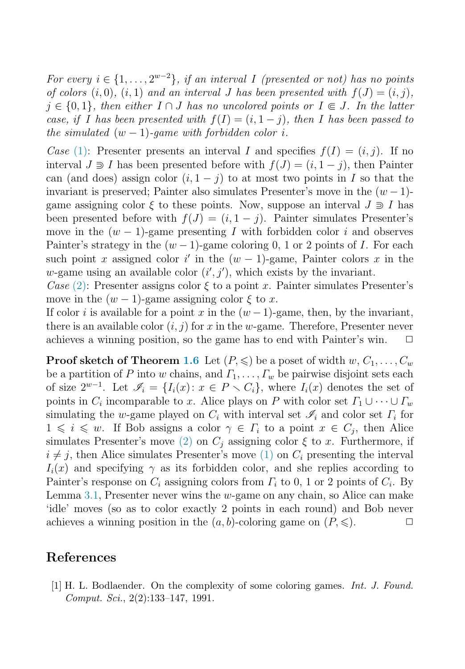<span id="page-7-0"></span>For every  $i \in \{1, \ldots, 2^{w-2}\}\$ , if an interval I (presented or not) has no points of colors  $(i, 0), (i, 1)$  and an interval J has been presented with  $f(J)=(i, j),$  $j \in \{0,1\}$ , then either  $I \cap J$  has no uncolored points or  $I \subseteq J$ . In the latter case, if I has been presented with  $f(I)=(i, 1 - j)$ , then I has been passed to the simulated  $(w - 1)$ -game with forbidden color i.

Case [\(1\):](#page-6-0) Presenter presents an interval I and specifies  $f(I)=(i, j)$ . If no interval  $J \ni I$  has been presented before with  $f(J)=(i, 1 - j)$ , then Painter can (and does) assign color  $(i, 1 - j)$  to at most two points in I so that the invariant is preserved; Painter also simulates Presenter's move in the  $(w - 1)$ game assigning color  $\xi$  to these points. Now, suppose an interval  $J \supseteq I$  has been presented before with  $f(J)=(i, 1 - j)$ . Painter simulates Presenter's move in the  $(w - 1)$ -game presenting I with forbidden color i and observes Painter's strategy in the  $(w-1)$ -game coloring 0, 1 or 2 points of I. For each such point x assigned color i' in the  $(w - 1)$ -game, Painter colors x in the w-game using an available color  $(i', j')$ , which exists by the invariant.

Case [\(2\):](#page-6-0) Presenter assigns color  $\xi$  to a point x. Painter simulates Presenter's move in the  $(w - 1)$ -game assigning color  $\xi$  to x.

If color i is available for a point x in the  $(w-1)$ -game, then, by the invariant, there is an available color  $(i, j)$  for x in the w-game. Therefore, Presenter never achieves a winning position, so the game has to end with Painter's win.  $\Box$ 

**Proof sketch of Theorem [1.6](#page-4-0)** Let  $(P, \leqslant)$  be a poset of width  $w, C_1, \ldots, C_w$ be a partition of P into w chains, and  $\Gamma_1, \ldots, \Gamma_w$  be pairwise disjoint sets each of size  $2^{w-1}$ . Let  $\mathscr{I}_i = \{I_i(x): x \in P \setminus C_i\}$ , where  $I_i(x)$  denotes the set of points in  $C_i$  incomparable to x. Alice plays on P with color set  $\varGamma_1 \cup \cdots \cup \varGamma_w$ simulating the w-game played on  $C_i$  with interval set  $\mathcal{I}_i$  and color set  $\Gamma_i$  for  $1 \leq i \leq w$ . If Bob assigns a color  $\gamma \in \Gamma_i$  to a point  $x \in C_j$ , then Alice simulates Presenter's move [\(2\)](#page-6-0) on  $C_j$  assigning color  $\xi$  to x. Furthermore, if  $i \neq j$ , then Alice simulates Presenter's move [\(1\)](#page-6-0) on  $C_i$  presenting the interval  $I_i(x)$  and specifying  $\gamma$  as its forbidden color, and she replies according to Painter's response on  $C_i$  assigning colors from  $\Gamma_i$  to 0, 1 or 2 points of  $C_i$ . By Lemma [3.1,](#page-6-0) Presenter never wins the  $w$ -game on any chain, so Alice can make 'idle' moves (so as to color exactly 2 points in each round) and Bob never achieves a winning position in the  $(a, b)$ -coloring game on  $(P, \leqslant)$ .  $\Box$ 

## **References**

[1] H. L. Bodlaender. On the complexity of some coloring games. Int. J. Found. Comput. Sci., 2(2):133–147, 1991.